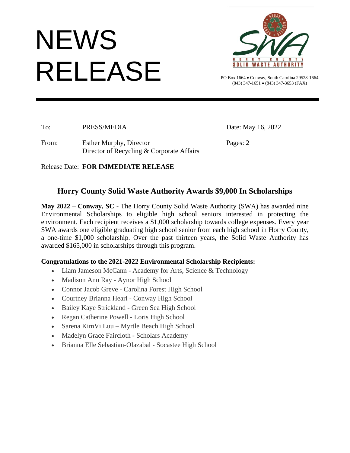# NEWS RELEASE



PO Box 1664 • Conway, South Carolina 29528-1664 (843) 347-1651 • (843) 347-3653 (FAX)

To: PRESS/MEDIA Date: May 16, 2022

From: Esther Murphy, Director Pages: 2 Director of Recycling & Corporate Affairs

### Release Date: **FOR IMMEDIATE RELEASE**

## **Horry County Solid Waste Authority Awards \$9,000 In Scholarships**

**May 2022 – Conway, SC -** The Horry County Solid Waste Authority (SWA) has awarded nine Environmental Scholarships to eligible high school seniors interested in protecting the environment. Each recipient receives a \$1,000 scholarship towards college expenses. Every year SWA awards one eligible graduating high school senior from each high school in Horry County, a one-time \$1,000 scholarship. Over the past thirteen years, the Solid Waste Authority has awarded \$165,000 in scholarships through this program.

### **Congratulations to the 2021-2022 Environmental Scholarship Recipients:**

- Liam Jameson McCann Academy for Arts, Science & Technology
- Madison Ann Ray Aynor High School
- Connor Jacob Greve Carolina Forest High School
- Courtney Brianna Hearl Conway High School
- Bailey Kaye Strickland Green Sea High School
- Regan Catherine Powell Loris High School
- Sarena KimVi Luu Myrtle Beach High School
- Madelyn Grace Faircloth Scholars Academy
- Brianna Elle Sebastian-Olazabal Socastee High School